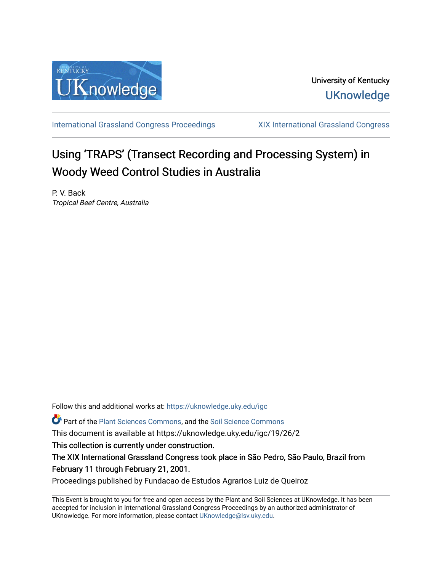

[International Grassland Congress Proceedings](https://uknowledge.uky.edu/igc) [XIX International Grassland Congress](https://uknowledge.uky.edu/igc/19) 

# Using 'TRAPS' (Transect Recording and Processing System) in Woody Weed Control Studies in Australia

P. V. Back Tropical Beef Centre, Australia

Follow this and additional works at: [https://uknowledge.uky.edu/igc](https://uknowledge.uky.edu/igc?utm_source=uknowledge.uky.edu%2Figc%2F19%2F26%2F2&utm_medium=PDF&utm_campaign=PDFCoverPages) 

Part of the [Plant Sciences Commons](http://network.bepress.com/hgg/discipline/102?utm_source=uknowledge.uky.edu%2Figc%2F19%2F26%2F2&utm_medium=PDF&utm_campaign=PDFCoverPages), and the [Soil Science Commons](http://network.bepress.com/hgg/discipline/163?utm_source=uknowledge.uky.edu%2Figc%2F19%2F26%2F2&utm_medium=PDF&utm_campaign=PDFCoverPages) 

This document is available at https://uknowledge.uky.edu/igc/19/26/2

This collection is currently under construction.

The XIX International Grassland Congress took place in São Pedro, São Paulo, Brazil from February 11 through February 21, 2001.

Proceedings published by Fundacao de Estudos Agrarios Luiz de Queiroz

This Event is brought to you for free and open access by the Plant and Soil Sciences at UKnowledge. It has been accepted for inclusion in International Grassland Congress Proceedings by an authorized administrator of UKnowledge. For more information, please contact [UKnowledge@lsv.uky.edu](mailto:UKnowledge@lsv.uky.edu).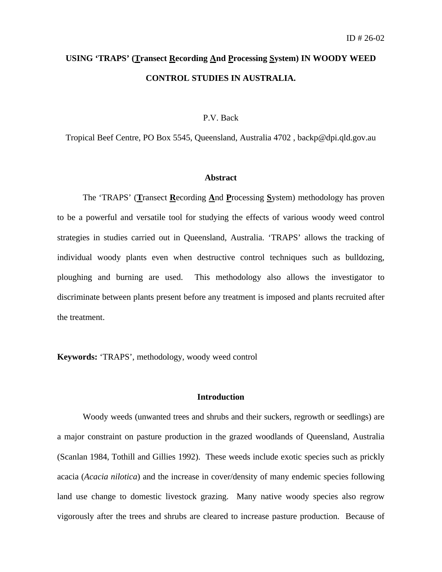# **USING 'TRAPS' (Transect Recording And Processing System) IN WOODY WEED CONTROL STUDIES IN AUSTRALIA.**

# P.V. Back

Tropical Beef Centre, PO Box 5545, Queensland, Australia 4702 , backp@dpi.qld.gov.au

#### **Abstract**

The 'TRAPS' (**T**ransect **R**ecording **A**nd **P**rocessing **S**ystem) methodology has proven to be a powerful and versatile tool for studying the effects of various woody weed control strategies in studies carried out in Queensland, Australia. 'TRAPS' allows the tracking of individual woody plants even when destructive control techniques such as bulldozing, ploughing and burning are used. This methodology also allows the investigator to discriminate between plants present before any treatment is imposed and plants recruited after the treatment.

**Keywords:** 'TRAPS', methodology, woody weed control

# **Introduction**

Woody weeds (unwanted trees and shrubs and their suckers, regrowth or seedlings) are a major constraint on pasture production in the grazed woodlands of Queensland, Australia (Scanlan 1984, Tothill and Gillies 1992). These weeds include exotic species such as prickly acacia (*Acacia nilotica*) and the increase in cover/density of many endemic species following land use change to domestic livestock grazing. Many native woody species also regrow vigorously after the trees and shrubs are cleared to increase pasture production. Because of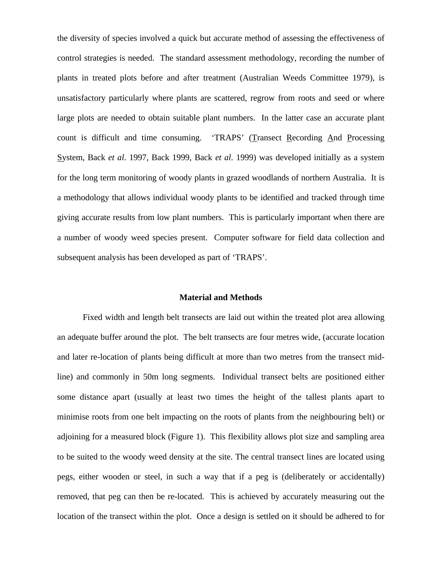the diversity of species involved a quick but accurate method of assessing the effectiveness of control strategies is needed. The standard assessment methodology, recording the number of plants in treated plots before and after treatment (Australian Weeds Committee 1979), is unsatisfactory particularly where plants are scattered, regrow from roots and seed or where large plots are needed to obtain suitable plant numbers. In the latter case an accurate plant count is difficult and time consuming. 'TRAPS' (Transect Recording And Processing System, Back *et al*. 1997, Back 1999, Back *et al*. 1999) was developed initially as a system for the long term monitoring of woody plants in grazed woodlands of northern Australia. It is a methodology that allows individual woody plants to be identified and tracked through time giving accurate results from low plant numbers. This is particularly important when there are a number of woody weed species present. Computer software for field data collection and subsequent analysis has been developed as part of 'TRAPS'.

# **Material and Methods**

Fixed width and length belt transects are laid out within the treated plot area allowing an adequate buffer around the plot. The belt transects are four metres wide, (accurate location and later re-location of plants being difficult at more than two metres from the transect midline) and commonly in 50m long segments. Individual transect belts are positioned either some distance apart (usually at least two times the height of the tallest plants apart to minimise roots from one belt impacting on the roots of plants from the neighbouring belt) or adjoining for a measured block (Figure 1). This flexibility allows plot size and sampling area to be suited to the woody weed density at the site. The central transect lines are located using pegs, either wooden or steel, in such a way that if a peg is (deliberately or accidentally) removed, that peg can then be re-located. This is achieved by accurately measuring out the location of the transect within the plot. Once a design is settled on it should be adhered to for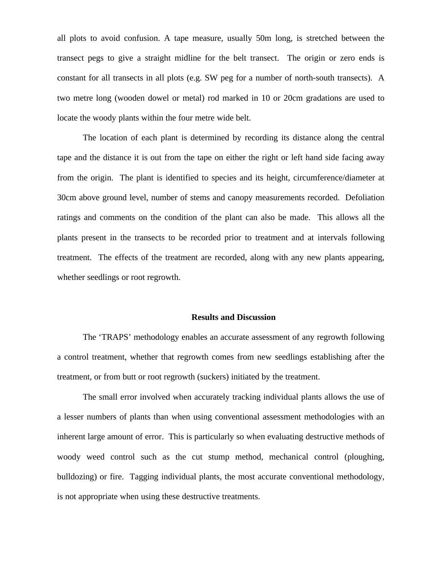all plots to avoid confusion. A tape measure, usually 50m long, is stretched between the transect pegs to give a straight midline for the belt transect. The origin or zero ends is constant for all transects in all plots (e.g. SW peg for a number of north-south transects). A two metre long (wooden dowel or metal) rod marked in 10 or 20cm gradations are used to locate the woody plants within the four metre wide belt.

The location of each plant is determined by recording its distance along the central tape and the distance it is out from the tape on either the right or left hand side facing away from the origin. The plant is identified to species and its height, circumference/diameter at 30cm above ground level, number of stems and canopy measurements recorded. Defoliation ratings and comments on the condition of the plant can also be made. This allows all the plants present in the transects to be recorded prior to treatment and at intervals following treatment. The effects of the treatment are recorded, along with any new plants appearing, whether seedlings or root regrowth.

# **Results and Discussion**

The 'TRAPS' methodology enables an accurate assessment of any regrowth following a control treatment, whether that regrowth comes from new seedlings establishing after the treatment, or from butt or root regrowth (suckers) initiated by the treatment.

The small error involved when accurately tracking individual plants allows the use of a lesser numbers of plants than when using conventional assessment methodologies with an inherent large amount of error. This is particularly so when evaluating destructive methods of woody weed control such as the cut stump method, mechanical control (ploughing, bulldozing) or fire. Tagging individual plants, the most accurate conventional methodology, is not appropriate when using these destructive treatments.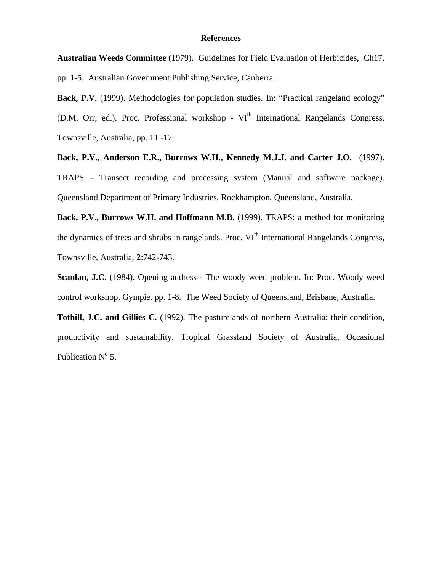# **References**

**Australian Weeds Committee** (1979). Guidelines for Field Evaluation of Herbicides, Ch17, pp. 1-5. Australian Government Publishing Service, Canberra.

Back, P.V. (1999). Methodologies for population studies. In: "Practical rangeland ecology" (D.M. Orr, ed.). Proc. Professional workshop - VI<sup>th</sup> International Rangelands Congress, Townsville, Australia, pp. 11 -17.

**Back, P.V., Anderson E.R., Burrows W.H., Kennedy M.J.J. and Carter J.O.** (1997). TRAPS – Transect recording and processing system (Manual and software package). Queensland Department of Primary Industries, Rockhampton, Queensland, Australia.

**Back, P.V., Burrows W.H. and Hoffmann M.B.** (1999). TRAPS: a method for monitoring the dynamics of trees and shrubs in rangelands. Proc. VI<sup>th</sup> International Rangelands Congress, Townsville, Australia, **2**:742-743.

**Scanlan, J.C.** (1984). Opening address - The woody weed problem. In: Proc. Woody weed control workshop, Gympie. pp. 1-8. The Weed Society of Queensland, Brisbane, Australia.

**Tothill, J.C. and Gillies C.** (1992). The pasturelands of northern Australia: their condition, productivity and sustainability. Tropical Grassland Society of Australia, Occasional Publication  $N^{\circ}$  5.